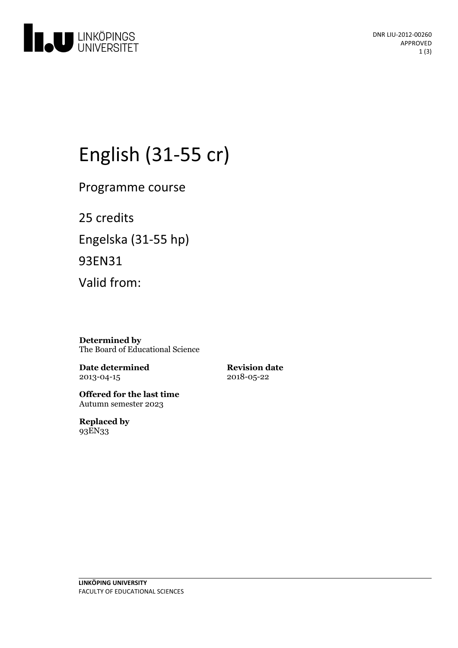

# English (31-55 cr)

Programme course

25 credits Engelska(31-55 hp) 93EN31 Valid from:

**Determined by** The Board of Educational Science

**Date determined** 2013-04-15

**Revision date** 2018-05-22

**Offered for the last time** Autumn semester 2023

**Replaced by** 93EN33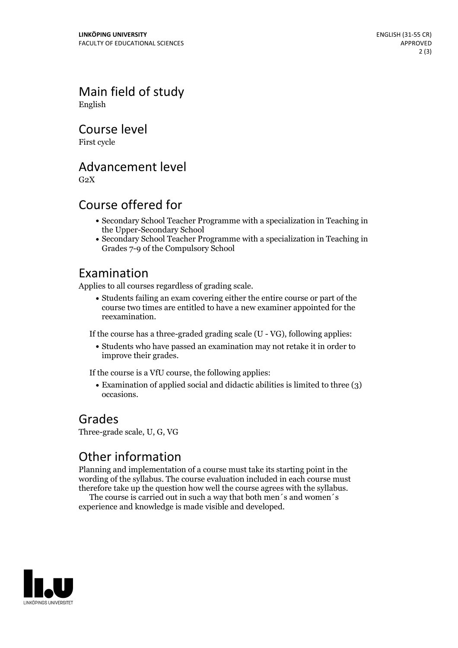Main field of study English

Course level

First cycle

#### Advancement level

 $G<sub>2</sub>X$ 

#### Course offered for

- Secondary School Teacher Programme with a specialization in Teaching in the Upper-Secondary School
- Secondary School Teacher Programme with a specialization in Teaching in Grades 7-9 of the Compulsory School

#### Examination

Applies to all courses regardless of grading scale.

Students failing an exam covering either the entire course or part of the course two times are entitled to have a new examiner appointed for the reexamination.

If the course has a three-graded grading scale (U - VG), following applies:

Students who have passed an examination may not retake it in order to improve their grades.

If the course is a VfU course, the following applies:

Examination of applied social and didactic abilities is limited to three (3) occasions.

#### Grades

Three-grade scale, U, G, VG

### Other information

Planning and implementation of a course must take its starting point in the wording of the syllabus. The course evaluation included in each course must therefore take up the question how well the course agrees with the syllabus. The course is carried outin such <sup>a</sup> way that both men´s and women´s

experience and knowledge is made visible and developed.